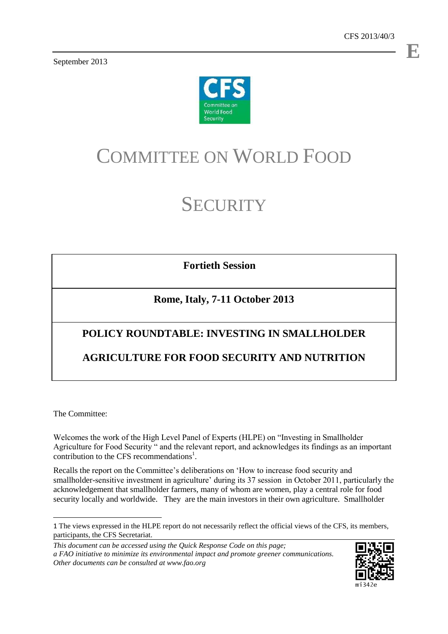September 2013



# COMMITTEE ON WORLD FOOD

# **SECURITY**

**Fortieth Session**

# **Rome, Italy, 7-11 October 2013**

# **POLICY ROUNDTABLE: INVESTING IN SMALLHOLDER**

## **AGRICULTURE FOR FOOD SECURITY AND NUTRITION**

The Committee:

Welcomes the work of the High Level Panel of Experts (HLPE) on "Investing in Smallholder Agriculture for Food Security " and the relevant report, and acknowledges its findings as an important contribution to the CFS recommendations<sup>1</sup>.

Recalls the report on the Committee's deliberations on 'How to increase food security and smallholder-sensitive investment in agriculture' during its 37 session in October 2011, particularly the acknowledgement that smallholder farmers, many of whom are women, play a central role for food security locally and worldwide. They are the main investors in their own agriculture. Smallholder

*This document can be accessed using the Quick Response Code on this page; a FAO initiative to minimize its environmental impact and promote greener communications. Other documents can be consulted at www.fao.org*



**E**

 $\overline{a}$ 1 The views expressed in the HLPE report do not necessarily reflect the official views of the CFS, its members, participants, the CFS Secretariat.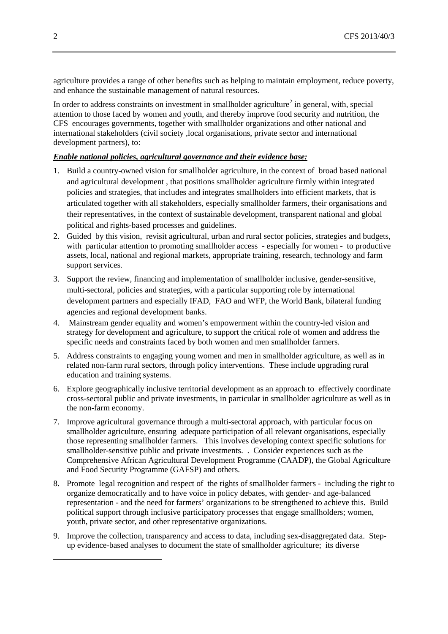agriculture provides a range of other benefits such as helping to maintain employment, reduce poverty, and enhance the sustainable management of natural resources.

In order to address constraints on investment in smallholder agriculture<sup>[2](#page-1-0)</sup> in general, with, special attention to those faced by women and youth, and thereby improve food security and nutrition, the CFS encourages governments, together with smallholder organizations and other national and international stakeholders (civil society ,local organisations, private sector and international development partners), to:

## *Enable national policies, agricultural governance and their evidence base:*

- 1. Build a country-owned vision for smallholder agriculture, in the context of broad based national and agricultural development , that positions smallholder agriculture firmly within integrated policies and strategies, that includes and integrates smallholders into efficient markets, that is articulated together with all stakeholders, especially smallholder farmers, their organisations and their representatives, in the context of sustainable development, transparent national and global political and rights-based processes and guidelines.
- 2. Guided by this vision, revisit agricultural, urban and rural sector policies, strategies and budgets, with particular attention to promoting smallholder access - especially for women - to productive assets, local, national and regional markets, appropriate training, research, technology and farm support services.
- 3. Support the review, financing and implementation of smallholder inclusive, gender-sensitive, multi-sectoral, policies and strategies, with a particular supporting role by international development partners and especially IFAD, FAO and WFP, the World Bank, bilateral funding agencies and regional development banks.
- 4. Mainstream gender equality and women's empowerment within the country-led vision and strategy for development and agriculture, to support the critical role of women and address the specific needs and constraints faced by both women and men smallholder farmers.
- 5. Address constraints to engaging young women and men in smallholder agriculture, as well as in related non-farm rural sectors, through policy interventions. These include upgrading rural education and training systems.
- 6. Explore geographically inclusive territorial development as an approach to effectively coordinate cross-sectoral public and private investments, in particular in smallholder agriculture as well as in the non-farm economy.
- 7. Improve agricultural governance through a multi-sectoral approach, with particular focus on smallholder agriculture, ensuring adequate participation of all relevant organisations, especially those representing smallholder farmers. This involves developing context specific solutions for smallholder-sensitive public and private investments. . Consider experiences such as the Comprehensive African Agricultural Development Programme (CAADP), the Global Agriculture and Food Security Programme (GAFSP) and others.
- 8. Promote legal recognition and respect of the rights of smallholder farmers including the right to organize democratically and to have voice in policy debates, with gender- and age-balanced representation - and the need for farmers' organizations to be strengthened to achieve this. Build political support through inclusive participatory processes that engage smallholders; women, youth, private sector, and other representative organizations.
- 9. Improve the collection, transparency and access to data, including sex-disaggregated data. Stepup evidence-based analyses to document the state of smallholder agriculture; its diverse

<span id="page-1-0"></span>-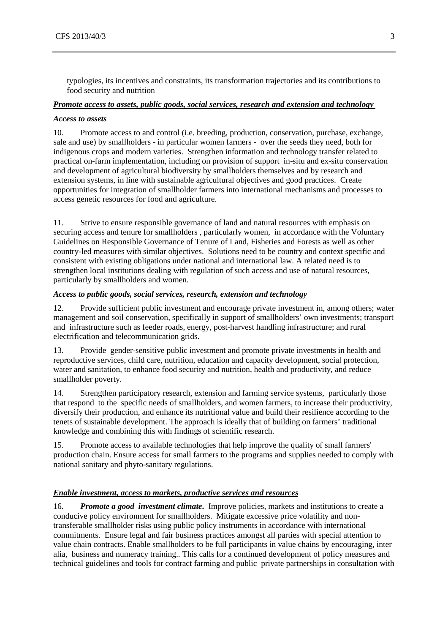typologies, its incentives and constraints, its transformation trajectories and its contributions to food security and nutrition

## *Promote access to assets, public goods, social services, research and extension and technology*

#### *Access to assets*

10. Promote access to and control (i.e. breeding, production, conservation, purchase, exchange, sale and use) by smallholders - in particular women farmers - over the seeds they need, both for indigenous crops and modern varieties. Strengthen information and technology transfer related to practical on-farm implementation, including on provision of support in-situ and ex-situ conservation and development of agricultural biodiversity by smallholders themselves and by research and extension systems, in line with sustainable agricultural objectives and good practices. Create opportunities for integration of smallholder farmers into international mechanisms and processes to access genetic resources for food and agriculture.

11. Strive to ensure responsible governance of land and natural resources with emphasis on securing access and tenure for smallholders , particularly women, in accordance with the Voluntary Guidelines on Responsible Governance of Tenure of Land, Fisheries and Forests as well as other country-led measures with similar objectives. Solutions need to be country and context specific and consistent with existing obligations under national and international law. A related need is to strengthen local institutions dealing with regulation of such access and use of natural resources, particularly by smallholders and women.

### *Access to public goods, social services, research, extension and technology*

12. Provide sufficient public investment and encourage private investment in, among others; water management and soil conservation, specifically in support of smallholders' own investments; transport and infrastructure such as feeder roads, energy, post-harvest handling infrastructure; and rural electrification and telecommunication grids.

13. Provide gender-sensitive public investment and promote private investments in health and reproductive services, child care, nutrition, education and capacity development, social protection, water and sanitation, to enhance food security and nutrition, health and productivity, and reduce smallholder poverty.

14. Strengthen participatory research, extension and farming service systems, particularly those that respond to the specific needs of smallholders, and women farmers, to increase their productivity, diversify their production, and enhance its nutritional value and build their resilience according to the tenets of sustainable development. The approach is ideally that of building on farmers' traditional knowledge and combining this with findings of scientific research.

15. Promote access to available technologies that help improve the quality of small farmers' production chain. Ensure access for small farmers to the programs and supplies needed to comply with national sanitary and phyto-sanitary regulations.

### *Enable investment, access to markets, productive services and resources*

16*. Promote a good investment climate***.** Improve policies, markets and institutions to create a conducive policy environment for smallholders. Mitigate excessive price volatility and nontransferable smallholder risks using public policy instruments in accordance with international commitments. Ensure legal and fair business practices amongst all parties with special attention to value chain contracts. Enable smallholders to be full participants in value chains by encouraging, inter alia, business and numeracy training.. This calls for a continued development of policy measures and technical guidelines and tools for contract farming and public–private partnerships in consultation with